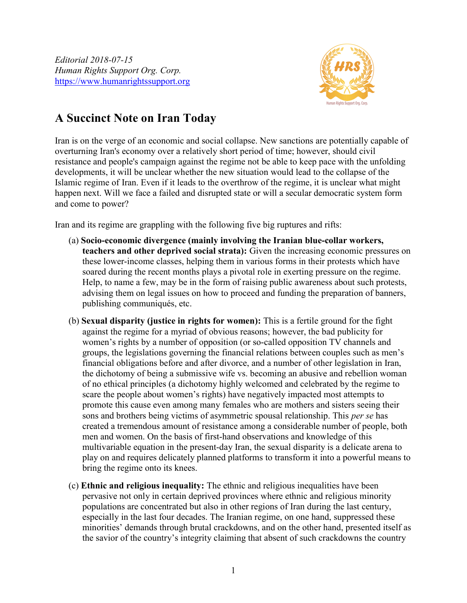Editorial 2018-07-15 Human Rights Support Org. Corp. https://www.humanrightssupport.org



## A Succinct Note on Iran Today

Iran is on the verge of an economic and social collapse. New sanctions are potentially capable of overturning Iran's economy over a relatively short period of time; however, should civil resistance and people's campaign against the regime not be able to keep pace with the unfolding developments, it will be unclear whether the new situation would lead to the collapse of the Islamic regime of Iran. Even if it leads to the overthrow of the regime, it is unclear what might happen next. Will we face a failed and disrupted state or will a secular democratic system form and come to power?

Iran and its regime are grappling with the following five big ruptures and rifts:

- (a) Socio-economic divergence (mainly involving the Iranian blue-collar workers, teachers and other deprived social strata): Given the increasing economic pressures on these lower-income classes, helping them in various forms in their protests which have soared during the recent months plays a pivotal role in exerting pressure on the regime. Help, to name a few, may be in the form of raising public awareness about such protests, advising them on legal issues on how to proceed and funding the preparation of banners, publishing communiqués, etc.
- (b) Sexual disparity (justice in rights for women): This is a fertile ground for the fight against the regime for a myriad of obvious reasons; however, the bad publicity for women's rights by a number of opposition (or so-called opposition TV channels and groups, the legislations governing the financial relations between couples such as men's financial obligations before and after divorce, and a number of other legislation in Iran, the dichotomy of being a submissive wife vs. becoming an abusive and rebellion woman of no ethical principles (a dichotomy highly welcomed and celebrated by the regime to scare the people about women's rights) have negatively impacted most attempts to promote this cause even among many females who are mothers and sisters seeing their sons and brothers being victims of asymmetric spousal relationship. This *per se* has created a tremendous amount of resistance among a considerable number of people, both men and women. On the basis of first-hand observations and knowledge of this multivariable equation in the present-day Iran, the sexual disparity is a delicate arena to play on and requires delicately planned platforms to transform it into a powerful means to bring the regime onto its knees.
- (c) Ethnic and religious inequality: The ethnic and religious inequalities have been pervasive not only in certain deprived provinces where ethnic and religious minority populations are concentrated but also in other regions of Iran during the last century, especially in the last four decades. The Iranian regime, on one hand, suppressed these minorities' demands through brutal crackdowns, and on the other hand, presented itself as the savior of the country's integrity claiming that absent of such crackdowns the country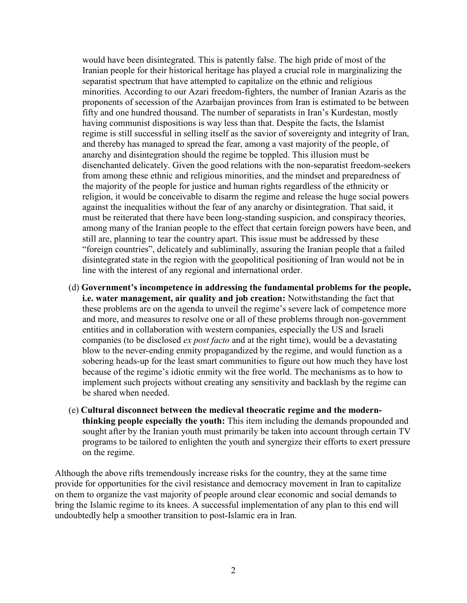would have been disintegrated. This is patently false. The high pride of most of the Iranian people for their historical heritage has played a crucial role in marginalizing the separatist spectrum that have attempted to capitalize on the ethnic and religious minorities. According to our Azari freedom-fighters, the number of Iranian Azaris as the proponents of secession of the Azarbaijan provinces from Iran is estimated to be between fifty and one hundred thousand. The number of separatists in Iran's Kurdestan, mostly having communist dispositions is way less than that. Despite the facts, the Islamist regime is still successful in selling itself as the savior of sovereignty and integrity of Iran, and thereby has managed to spread the fear, among a vast majority of the people, of anarchy and disintegration should the regime be toppled. This illusion must be disenchanted delicately. Given the good relations with the non-separatist freedom-seekers from among these ethnic and religious minorities, and the mindset and preparedness of the majority of the people for justice and human rights regardless of the ethnicity or religion, it would be conceivable to disarm the regime and release the huge social powers against the inequalities without the fear of any anarchy or disintegration. That said, it must be reiterated that there have been long-standing suspicion, and conspiracy theories, among many of the Iranian people to the effect that certain foreign powers have been, and still are, planning to tear the country apart. This issue must be addressed by these "foreign countries", delicately and subliminally, assuring the Iranian people that a failed disintegrated state in the region with the geopolitical positioning of Iran would not be in line with the interest of any regional and international order.

- (d) Government's incompetence in addressing the fundamental problems for the people, i.e. water management, air quality and job creation: Notwithstanding the fact that these problems are on the agenda to unveil the regime's severe lack of competence more and more, and measures to resolve one or all of these problems through non-government entities and in collaboration with western companies, especially the US and Israeli companies (to be disclosed *ex post facto* and at the right time), would be a devastating blow to the never-ending enmity propagandized by the regime, and would function as a sobering heads-up for the least smart communities to figure out how much they have lost because of the regime's idiotic enmity wit the free world. The mechanisms as to how to implement such projects without creating any sensitivity and backlash by the regime can be shared when needed.
- (e) Cultural disconnect between the medieval theocratic regime and the modernthinking people especially the youth: This item including the demands propounded and sought after by the Iranian youth must primarily be taken into account through certain TV programs to be tailored to enlighten the youth and synergize their efforts to exert pressure on the regime.

Although the above rifts tremendously increase risks for the country, they at the same time provide for opportunities for the civil resistance and democracy movement in Iran to capitalize on them to organize the vast majority of people around clear economic and social demands to bring the Islamic regime to its knees. A successful implementation of any plan to this end will undoubtedly help a smoother transition to post-Islamic era in Iran.